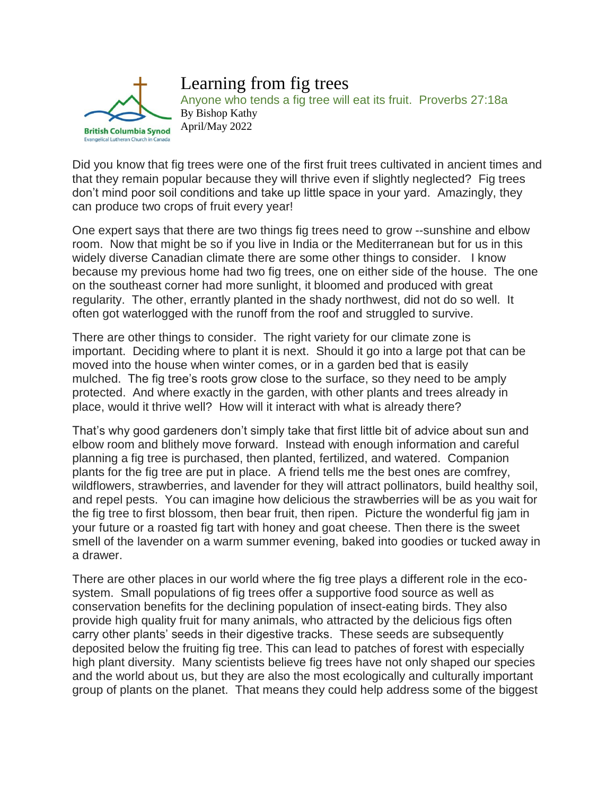

Learning from fig trees Anyone who tends a fig tree will eat its fruit. Proverbs 27:18a By Bishop Kathy April/May 2022

Did you know that fig trees were one of the first fruit trees cultivated in ancient times and that they remain popular because they will thrive even if slightly neglected? Fig trees don't mind poor soil conditions and take up little space in your yard. Amazingly, they can produce two crops of fruit every year!

One expert says that there are two things fig trees need to grow --sunshine and elbow room. Now that might be so if you live in India or the Mediterranean but for us in this widely diverse Canadian climate there are some other things to consider. I know because my previous home had two fig trees, one on either side of the house. The one on the southeast corner had more sunlight, it bloomed and produced with great regularity. The other, errantly planted in the shady northwest, did not do so well. It often got waterlogged with the runoff from the roof and struggled to survive.

There are other things to consider. The right variety for our climate zone is important. Deciding where to plant it is next. Should it go into a large pot that can be moved into the house when winter comes, or in a garden bed that is easily mulched. The fig tree's roots grow close to the surface, so they need to be amply protected. And where exactly in the garden, with other plants and trees already in place, would it thrive well? How will it interact with what is already there?

That's why good gardeners don't simply take that first little bit of advice about sun and elbow room and blithely move forward. Instead with enough information and careful planning a fig tree is purchased, then planted, fertilized, and watered. Companion plants for the fig tree are put in place. A friend tells me the best ones are comfrey, wildflowers, strawberries, and lavender for they will attract pollinators, build healthy soil, and repel pests. You can imagine how delicious the strawberries will be as you wait for the fig tree to first blossom, then bear fruit, then ripen. Picture the wonderful fig jam in your future or a roasted fig tart with honey and goat cheese. Then there is the sweet smell of the lavender on a warm summer evening, baked into goodies or tucked away in a drawer.

There are other places in our world where the fig tree plays a different role in the ecosystem. Small populations of fig trees offer a supportive food source as well as conservation benefits for the declining population of insect-eating birds. They also provide high quality fruit for many animals, who attracted by the delicious figs often carry other plants' seeds in their digestive tracks. These seeds are subsequently deposited below the fruiting fig tree. This can lead to patches of forest with especially high plant diversity. Many scientists believe fig trees have not only shaped our species and the world about us, but they are also the most ecologically and culturally important group of plants on the planet. That means they could help address some of the biggest